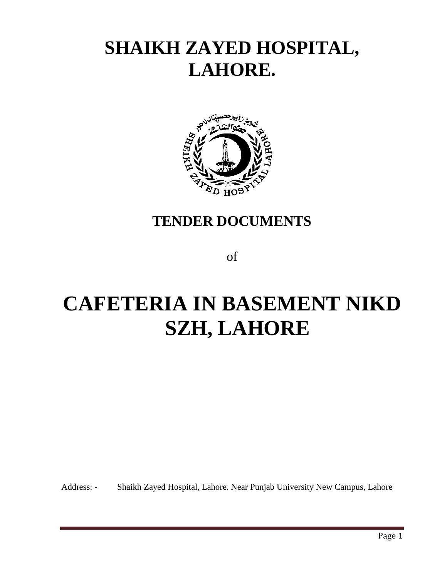# **SHAIKH ZAYED HOSPITAL, LAHORE.**



# **TENDER DOCUMENTS**

of

# **CAFETERIA IN BASEMENT NIKD SZH, LAHORE**

Address: - Shaikh Zayed Hospital, Lahore. Near Punjab University New Campus, Lahore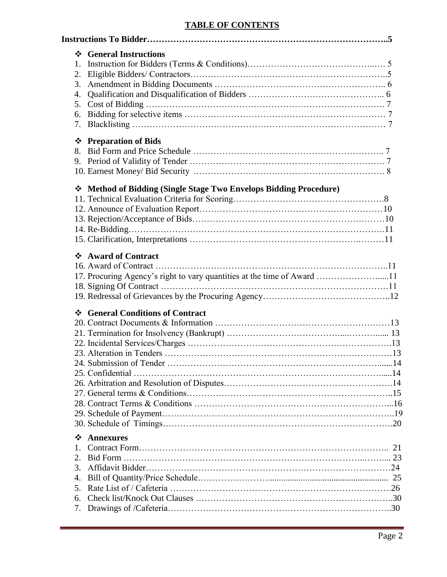## **TABLE OF CONTENTS**

| 1.<br>2.<br>3.<br>4.<br>5.<br>6.<br>7.<br>❖<br>8. | ❖ General Instructions<br><b>Preparation of Bids</b>                                                |  |
|---------------------------------------------------|-----------------------------------------------------------------------------------------------------|--|
|                                                   | * Method of Bidding (Single Stage Two Envelops Bidding Procedure)                                   |  |
| $\cdot$                                           | <b>Award of Contract</b><br>17. Procuring Agency's right to vary quantities at the time of Award 11 |  |
|                                                   | ❖ General Conditions of Contract                                                                    |  |
| ❖<br>1.<br>2.<br>3.<br>4.<br>5.<br>6.<br>7.       | <b>Annexures</b>                                                                                    |  |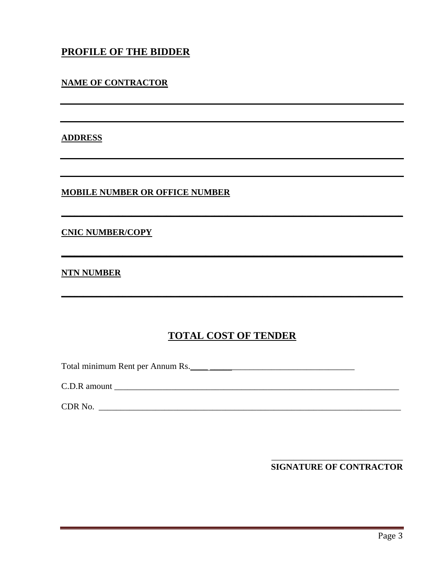## PROFILE OF THE BIDDER

#### **NAME OF CONTRACTOR**

#### **ADDRESS**

**MOBILE NUMBER OR OFFICE NUMBER** 

#### **CNIC NUMBER/COPY**

#### **NTN NUMBER**

## **TOTAL COST OF TENDER**

C.D.R amount

**SIGNATURE OF CONTRACTOR**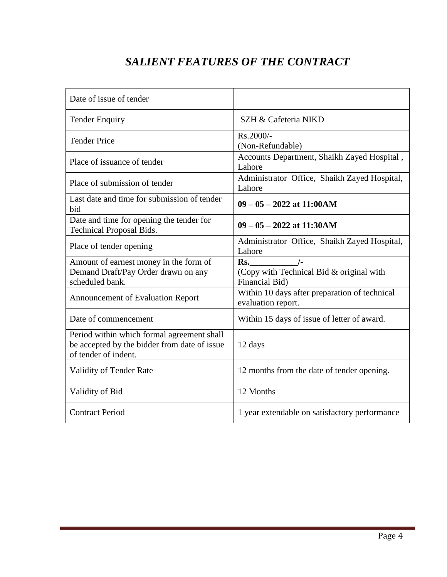# *SALIENT FEATURES OF THE CONTRACT*

| Date of issue of tender                                                                                            |                                                                                    |
|--------------------------------------------------------------------------------------------------------------------|------------------------------------------------------------------------------------|
| <b>Tender Enquiry</b>                                                                                              | SZH & Cafeteria NIKD                                                               |
| <b>Tender Price</b>                                                                                                | Rs.2000/-<br>(Non-Refundable)                                                      |
| Place of issuance of tender                                                                                        | Accounts Department, Shaikh Zayed Hospital,<br>Lahore                              |
| Place of submission of tender                                                                                      | Administrator Office, Shaikh Zayed Hospital,<br>Lahore                             |
| Last date and time for submission of tender<br>bid                                                                 | $09 - 05 - 2022$ at 11:00AM                                                        |
| Date and time for opening the tender for<br><b>Technical Proposal Bids.</b>                                        | $09 - 05 - 2022$ at 11:30AM                                                        |
| Place of tender opening                                                                                            | Administrator Office, Shaikh Zayed Hospital,<br>Lahore                             |
| Amount of earnest money in the form of<br>Demand Draft/Pay Order drawn on any<br>scheduled bank.                   | $\frac{1}{2}$<br>Rs.<br>(Copy with Technical Bid & original with<br>Financial Bid) |
| <b>Announcement of Evaluation Report</b>                                                                           | Within 10 days after preparation of technical<br>evaluation report.                |
| Date of commencement                                                                                               | Within 15 days of issue of letter of award.                                        |
| Period within which formal agreement shall<br>be accepted by the bidder from date of issue<br>of tender of indent. | 12 days                                                                            |
| Validity of Tender Rate                                                                                            | 12 months from the date of tender opening.                                         |
| Validity of Bid                                                                                                    | 12 Months                                                                          |
| <b>Contract Period</b>                                                                                             | 1 year extendable on satisfactory performance                                      |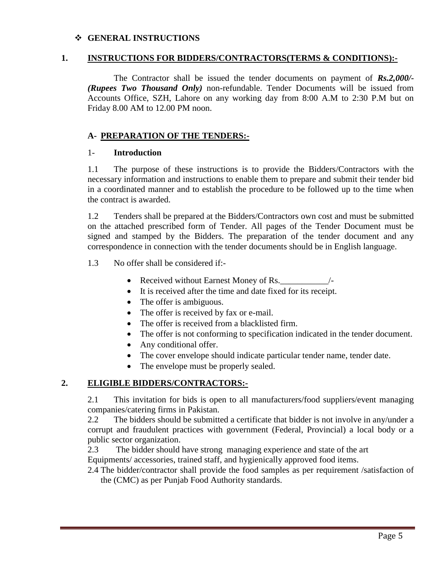#### **GENERAL INSTRUCTIONS**

#### **1. INSTRUCTIONS FOR BIDDERS/CONTRACTORS(TERMS & CONDITIONS):-**

The Contractor shall be issued the tender documents on payment of *Rs.2,000/- (Rupees Two Thousand Only)* non-refundable. Tender Documents will be issued from Accounts Office, SZH, Lahore on any working day from 8:00 A.M to 2:30 P.M but on Friday 8.00 AM to 12.00 PM noon.

#### **A- PREPARATION OF THE TENDERS:-**

#### 1- **Introduction**

1.1 The purpose of these instructions is to provide the Bidders/Contractors with the necessary information and instructions to enable them to prepare and submit their tender bid in a coordinated manner and to establish the procedure to be followed up to the time when the contract is awarded.

1.2 Tenders shall be prepared at the Bidders/Contractors own cost and must be submitted on the attached prescribed form of Tender. All pages of the Tender Document must be signed and stamped by the Bidders. The preparation of the tender document and any correspondence in connection with the tender documents should be in English language.

1.3 No offer shall be considered if:-

- Received without Earnest Money of Rs.\_\_\_\_\_\_\_\_\_\_\_/-
- It is received after the time and date fixed for its receipt.
- The offer is ambiguous.
- The offer is received by fax or e-mail.
- The offer is received from a blacklisted firm.
- The offer is not conforming to specification indicated in the tender document.
- Any conditional offer.
- The cover envelope should indicate particular tender name, tender date.
- The envelope must be properly sealed.

#### **2. ELIGIBLE BIDDERS/CONTRACTORS:-**

2.1 This invitation for bids is open to all manufacturers/food suppliers/event managing companies/catering firms in Pakistan.

2.2 The bidders should be submitted a certificate that bidder is not involve in any/under a corrupt and fraudulent practices with government (Federal, Provincial) a local body or a public sector organization.

2.3 The bidder should have strong managing experience and state of the art Equipments/ accessories, trained staff, and hygienically approved food items.

2.4 The bidder/contractor shall provide the food samples as per requirement /satisfaction of the (CMC) as per Punjab Food Authority standards.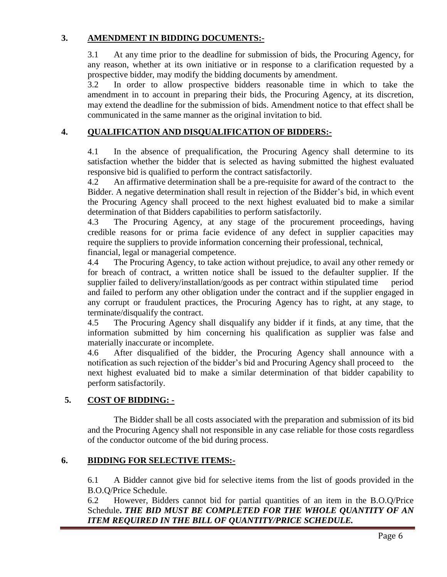#### **3. AMENDMENT IN BIDDING DOCUMENTS:-**

3.1 At any time prior to the deadline for submission of bids, the Procuring Agency, for any reason, whether at its own initiative or in response to a clarification requested by a prospective bidder, may modify the bidding documents by amendment.

3.2 In order to allow prospective bidders reasonable time in which to take the amendment in to account in preparing their bids, the Procuring Agency, at its discretion, may extend the deadline for the submission of bids. Amendment notice to that effect shall be communicated in the same manner as the original invitation to bid.

#### **4. QUALIFICATION AND DISQUALIFICATION OF BIDDERS:-**

4.1 In the absence of prequalification, the Procuring Agency shall determine to its satisfaction whether the bidder that is selected as having submitted the highest evaluated responsive bid is qualified to perform the contract satisfactorily.

4.2 An affirmative determination shall be a pre-requisite for award of the contract to the Bidder. A negative determination shall result in rejection of the Bidder's bid, in which event the Procuring Agency shall proceed to the next highest evaluated bid to make a similar determination of that Bidders capabilities to perform satisfactorily.

4.3 The Procuring Agency, at any stage of the procurement proceedings, having credible reasons for or prima facie evidence of any defect in supplier capacities may require the suppliers to provide information concerning their professional, technical, financial, legal or managerial competence.

4.4 The Procuring Agency, to take action without prejudice, to avail any other remedy or for breach of contract, a written notice shall be issued to the defaulter supplier. If the supplier failed to delivery/installation/goods as per contract within stipulated time period and failed to perform any other obligation under the contract and if the supplier engaged in any corrupt or fraudulent practices, the Procuring Agency has to right, at any stage, to terminate/disqualify the contract.

4.5 The Procuring Agency shall disqualify any bidder if it finds, at any time, that the information submitted by him concerning his qualification as supplier was false and materially inaccurate or incomplete.

4.6 After disqualified of the bidder, the Procuring Agency shall announce with a notification as such rejection of the bidder's bid and Procuring Agency shall proceed to the next highest evaluated bid to make a similar determination of that bidder capability to perform satisfactorily.

## **5. COST OF BIDDING: -**

The Bidder shall be all costs associated with the preparation and submission of its bid and the Procuring Agency shall not responsible in any case reliable for those costs regardless of the conductor outcome of the bid during process.

#### **6. BIDDING FOR SELECTIVE ITEMS:-**

6.1 A Bidder cannot give bid for selective items from the list of goods provided in the B.O.Q/Price Schedule.

6.2 However, Bidders cannot bid for partial quantities of an item in the B.O.Q/Price Schedule**.** *THE BID MUST BE COMPLETED FOR THE WHOLE QUANTITY OF AN ITEM REQUIRED IN THE BILL OF QUANTITY/PRICE SCHEDULE.*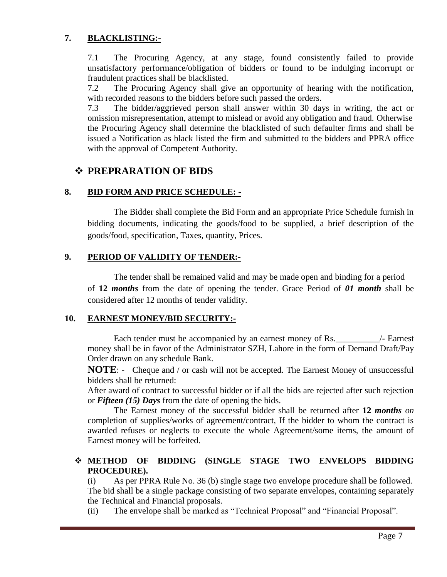## **7. BLACKLISTING:-**

7.1 The Procuring Agency, at any stage, found consistently failed to provide unsatisfactory performance/obligation of bidders or found to be indulging incorrupt or fraudulent practices shall be blacklisted.

7.2 The Procuring Agency shall give an opportunity of hearing with the notification, with recorded reasons to the bidders before such passed the orders.

7.3 The bidder/aggrieved person shall answer within 30 days in writing, the act or omission misrepresentation, attempt to mislead or avoid any obligation and fraud. Otherwise the Procuring Agency shall determine the blacklisted of such defaulter firms and shall be issued a Notification as black listed the firm and submitted to the bidders and PPRA office with the approval of Competent Authority.

## **PREPRARATION OF BIDS**

## **8. BID FORM AND PRICE SCHEDULE: -**

The Bidder shall complete the Bid Form and an appropriate Price Schedule furnish in bidding documents, indicating the goods/food to be supplied, a brief description of the goods/food, specification, Taxes, quantity, Prices.

#### **9. PERIOD OF VALIDITY OF TENDER:-**

The tender shall be remained valid and may be made open and binding for a period of **12** *months* from the date of opening the tender. Grace Period of *01 month* shall be considered after 12 months of tender validity.

#### **10. EARNEST MONEY/BID SECURITY:-**

Each tender must be accompanied by an earnest money of Rs.\_\_\_\_\_\_\_\_\_\_/- Earnest money shall be in favor of the Administrator SZH, Lahore in the form of Demand Draft/Pay Order drawn on any schedule Bank.

**NOTE:** - Cheque and / or cash will not be accepted. The Earnest Money of unsuccessful bidders shall be returned:

After award of contract to successful bidder or if all the bids are rejected after such rejection or *Fifteen (15) Days* from the date of opening the bids.

The Earnest money of the successful bidder shall be returned after **12** *months on* completion of supplies/works of agreement/contract, If the bidder to whom the contract is awarded refuses or neglects to execute the whole Agreement/some items, the amount of Earnest money will be forfeited.

#### **METHOD OF BIDDING (SINGLE STAGE TWO ENVELOPS BIDDING PROCEDURE).**

(i) As per PPRA Rule No. 36 (b) single stage two envelope procedure shall be followed. The bid shall be a single package consisting of two separate envelopes, containing separately the Technical and Financial proposals.

(ii) The envelope shall be marked as "Technical Proposal" and "Financial Proposal".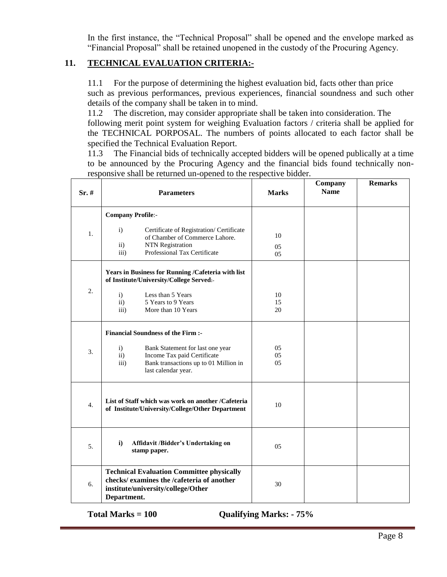In the first instance, the "Technical Proposal" shall be opened and the envelope marked as "Financial Proposal" shall be retained unopened in the custody of the Procuring Agency.

## **11. TECHNICAL EVALUATION CRITERIA:-**

11.1 For the purpose of determining the highest evaluation bid, facts other than price such as previous performances, previous experiences, financial soundness and such other details of the company shall be taken in to mind.

11.2 The discretion, may consider appropriate shall be taken into consideration. The following merit point system for weighing Evaluation factors / criteria shall be applied for the TECHNICAL PORPOSAL. The numbers of points allocated to each factor shall be specified the Technical Evaluation Report.

11.3 The Financial bids of technically accepted bidders will be opened publically at a time to be announced by the Procuring Agency and the financial bids found technically nonresponsive shall be returned un-opened to the respective bidder.

| $Sr.$ #          | <b>Parameters</b>                                                                                                                                                                                         | <b>Marks</b>   | Company<br><b>Name</b> | <b>Remarks</b> |
|------------------|-----------------------------------------------------------------------------------------------------------------------------------------------------------------------------------------------------------|----------------|------------------------|----------------|
| 1.               | <b>Company Profile:-</b><br>$\mathbf{i}$<br>Certificate of Registration/Certificate<br>of Chamber of Commerce Lahore.<br><b>NTN</b> Registration<br>$\mathbf{ii}$<br>Professional Tax Certificate<br>iii) | 10<br>05<br>05 |                        |                |
| 2.               | Years in Business for Running /Cafeteria with list<br>of Institute/University/College Served:-<br>$\mathbf{i}$<br>Less than 5 Years<br>$\mathbf{ii}$<br>5 Years to 9 Years                                | 10<br>15       |                        |                |
|                  | iii)<br>More than 10 Years<br><b>Financial Soundness of the Firm :-</b>                                                                                                                                   | 20             |                        |                |
| 3.               | $\mathbf{i}$<br>Bank Statement for last one year<br>$\mathbf{ii}$<br>Income Tax paid Certificate<br>iii)<br>Bank transactions up to 01 Million in<br>last calendar year.                                  | 05<br>05<br>05 |                        |                |
| $\overline{4}$ . | List of Staff which was work on another /Cafeteria<br>of Institute/University/College/Other Department                                                                                                    | 10             |                        |                |
| 5.               | $\mathbf{i}$<br>Affidavit /Bidder's Undertaking on<br>stamp paper.                                                                                                                                        | 05             |                        |                |
| 6.               | <b>Technical Evaluation Committee physically</b><br>checks/ examines the /cafeteria of another<br>institute/university/college/Other<br>Department.                                                       | 30             |                        |                |

**Total Marks = 100 Qualifying Marks: - 75%**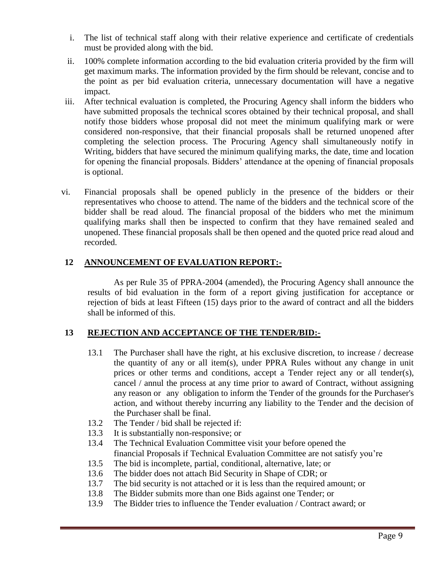- i. The list of technical staff along with their relative experience and certificate of credentials must be provided along with the bid.
- ii. 100% complete information according to the bid evaluation criteria provided by the firm will get maximum marks. The information provided by the firm should be relevant, concise and to the point as per bid evaluation criteria, unnecessary documentation will have a negative impact.
- iii. After technical evaluation is completed, the Procuring Agency shall inform the bidders who have submitted proposals the technical scores obtained by their technical proposal, and shall notify those bidders whose proposal did not meet the minimum qualifying mark or were considered non-responsive, that their financial proposals shall be returned unopened after completing the selection process. The Procuring Agency shall simultaneously notify in Writing, bidders that have secured the minimum qualifying marks, the date, time and location for opening the financial proposals. Bidders' attendance at the opening of financial proposals is optional.
- vi. Financial proposals shall be opened publicly in the presence of the bidders or their representatives who choose to attend. The name of the bidders and the technical score of the bidder shall be read aloud. The financial proposal of the bidders who met the minimum qualifying marks shall then be inspected to confirm that they have remained sealed and unopened. These financial proposals shall be then opened and the quoted price read aloud and recorded.

#### **12 ANNOUNCEMENT OF EVALUATION REPORT:-**

As per Rule 35 of PPRA-2004 (amended), the Procuring Agency shall announce the results of bid evaluation in the form of a report giving justification for acceptance or rejection of bids at least Fifteen (15) days prior to the award of contract and all the bidders shall be informed of this.

#### **13 REJECTION AND ACCEPTANCE OF THE TENDER/BID:-**

- 13.1 The Purchaser shall have the right, at his exclusive discretion, to increase / decrease the quantity of any or all item(s), under PPRA Rules without any change in unit prices or other terms and conditions, accept a Tender reject any or all tender(s), cancel / annul the process at any time prior to award of Contract, without assigning any reason or any obligation to inform the Tender of the grounds for the Purchaser's action, and without thereby incurring any liability to the Tender and the decision of the Purchaser shall be final.
- 13.2 The Tender / bid shall be rejected if:
- 13.3 It is substantially non-responsive; or
- 13.4 The Technical Evaluation Committee visit your before opened the financial Proposals if Technical Evaluation Committee are not satisfy you're
- 13.5 The bid is incomplete, partial, conditional, alternative, late; or
- 13.6 The bidder does not attach Bid Security in Shape of CDR; or
- 13.7 The bid security is not attached or it is less than the required amount; or
- 13.8 The Bidder submits more than one Bids against one Tender; or
- 13.9 The Bidder tries to influence the Tender evaluation / Contract award; or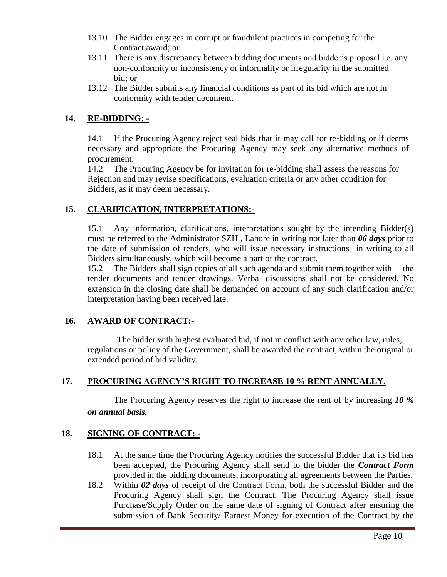- 13.10 The Bidder engages in corrupt or fraudulent practices in competing for the Contract award; or
- 13.11 There is any discrepancy between bidding documents and bidder's proposal i.e. any non-conformity or inconsistency or informality or irregularity in the submitted bid; or
- 13.12 The Bidder submits any financial conditions as part of its bid which are not in conformity with tender document.

#### **14. RE-BIDDING: -**

14.1 If the Procuring Agency reject seal bids that it may call for re-bidding or if deems necessary and appropriate the Procuring Agency may seek any alternative methods of procurement.

14.2 The Procuring Agency be for invitation for re‐bidding shall assess the reasons for Rejection and may revise specifications, evaluation criteria or any other condition for Bidders, as it may deem necessary.

#### **15. CLARIFICATION, INTERPRETATIONS:-**

15.1 Any information, clarifications, interpretations sought by the intending Bidder(s) must be referred to the Administrator SZH , Lahore in writing not later than *06 days* prior to the date of submission of tenders, who will issue necessary instructions in writing to all Bidders simultaneously, which will become a part of the contract.

15.2 The Bidders shall sign copies of all such agenda and submit them together with the tender documents and tender drawings. Verbal discussions shall not be considered. No extension in the closing date shall be demanded on account of any such clarification and/or interpretation having been received late.

#### **16. AWARD OF CONTRACT:-**

The bidder with highest evaluated bid, if not in conflict with any other law, rules, regulations or policy of the Government, shall be awarded the contract, within the original or extended period of bid validity.

## **17. PROCURING AGENCY'S RIGHT TO INCREASE 10 % RENT ANNUALLY.**

The Procuring Agency reserves the right to increase the rent of by increasing *10 % on annual basis.*

#### **18. SIGNING OF CONTRACT: -**

- 18.1 At the same time the Procuring Agency notifies the successful Bidder that its bid has been accepted, the Procuring Agency shall send to the bidder the *Contract Form* provided in the bidding documents, incorporating all agreements between the Parties.
- 18.2 Within *02 days* of receipt of the Contract Form, both the successful Bidder and the Procuring Agency shall sign the Contract. The Procuring Agency shall issue Purchase/Supply Order on the same date of signing of Contract after ensuring the submission of Bank Security/ Earnest Money for execution of the Contract by the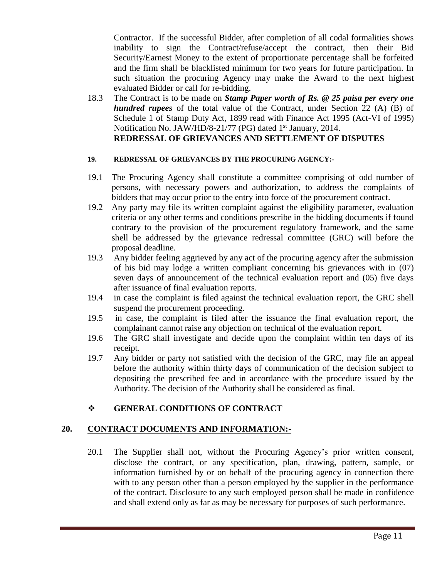Contractor. If the successful Bidder, after completion of all codal formalities shows inability to sign the Contract/refuse/accept the contract, then their Bid Security/Earnest Money to the extent of proportionate percentage shall be forfeited and the firm shall be blacklisted minimum for two years for future participation. In such situation the procuring Agency may make the Award to the next highest evaluated Bidder or call for re-bidding.

18.3 The Contract is to be made on *Stamp Paper worth of Rs. @ 25 paisa per every one hundred rupees* of the total value of the Contract, under Section 22 (A) (B) of Schedule 1 of Stamp Duty Act, 1899 read with Finance Act 1995 (Act-VI of 1995) Notification No. JAW/HD/8-21/77 (PG) dated 1<sup>st</sup> January, 2014. **REDRESSAL OF GRIEVANCES AND SETTLEMENT OF DISPUTES**

#### **19. REDRESSAL OF GRIEVANCES BY THE PROCURING AGENCY:-**

- 19.1 The Procuring Agency shall constitute a committee comprising of odd number of persons, with necessary powers and authorization, to address the complaints of bidders that may occur prior to the entry into force of the procurement contract.
- 19.2 Any party may file its written complaint against the eligibility parameter, evaluation criteria or any other terms and conditions prescribe in the bidding documents if found contrary to the provision of the procurement regulatory framework, and the same shell be addressed by the grievance redressal committee (GRC) will before the proposal deadline.
- 19.3 Any bidder feeling aggrieved by any act of the procuring agency after the submission of his bid may lodge a written compliant concerning his grievances with in (07) seven days of announcement of the technical evaluation report and (05) five days after issuance of final evaluation reports.
- 19.4 in case the complaint is filed against the technical evaluation report, the GRC shell suspend the procurement proceeding.
- 19.5 in case, the complaint is filed after the issuance the final evaluation report, the complainant cannot raise any objection on technical of the evaluation report.
- 19.6 The GRC shall investigate and decide upon the complaint within ten days of its receipt.
- 19.7 Any bidder or party not satisfied with the decision of the GRC, may file an appeal before the authority within thirty days of communication of the decision subject to depositing the prescribed fee and in accordance with the procedure issued by the Authority. The decision of the Authority shall be considered as final.

#### **GENERAL CONDITIONS OF CONTRACT**

#### **20. CONTRACT DOCUMENTS AND INFORMATION:-**

 20.1 The Supplier shall not, without the Procuring Agency's prior written consent, disclose the contract, or any specification, plan, drawing, pattern, sample, or information furnished by or on behalf of the procuring agency in connection there with to any person other than a person employed by the supplier in the performance of the contract. Disclosure to any such employed person shall be made in confidence and shall extend only as far as may be necessary for purposes of such performance.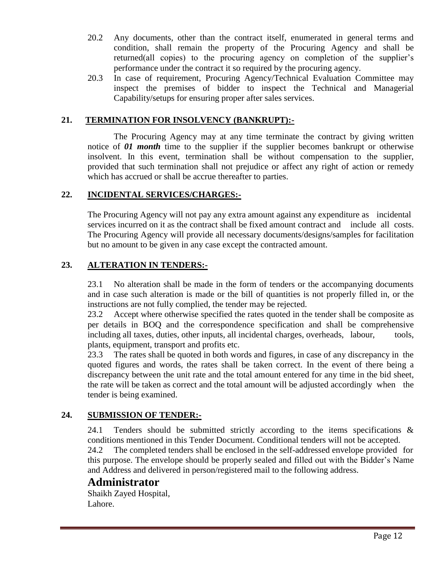- 20.2 Any documents, other than the contract itself, enumerated in general terms and condition, shall remain the property of the Procuring Agency and shall be returned(all copies) to the procuring agency on completion of the supplier's performance under the contract it so required by the procuring agency.
- 20.3 In case of requirement, Procuring Agency/Technical Evaluation Committee may inspect the premises of bidder to inspect the Technical and Managerial Capability/setups for ensuring proper after sales services.

#### **21. TERMINATION FOR INSOLVENCY (BANKRUPT):-**

The Procuring Agency may at any time terminate the contract by giving written notice of **01 month** time to the supplier if the supplier becomes bankrupt or otherwise insolvent. In this event, termination shall be without compensation to the supplier, provided that such termination shall not prejudice or affect any right of action or remedy which has accrued or shall be accrue thereafter to parties.

#### **22. INCIDENTAL SERVICES/CHARGES:-**

The Procuring Agency will not pay any extra amount against any expenditure as incidental services incurred on it as the contract shall be fixed amount contract and include all costs. The Procuring Agency will provide all necessary documents/designs/samples for facilitation but no amount to be given in any case except the contracted amount.

#### **23. ALTERATION IN TENDERS:-**

23.1 No alteration shall be made in the form of tenders or the accompanying documents and in case such alteration is made or the bill of quantities is not properly filled in, or the instructions are not fully complied, the tender may be rejected.

23.2 Accept where otherwise specified the rates quoted in the tender shall be composite as per details in BOQ and the correspondence specification and shall be comprehensive including all taxes, duties, other inputs, all incidental charges, overheads, labour, tools, plants, equipment, transport and profits etc.

23.3 The rates shall be quoted in both words and figures, in case of any discrepancy in the quoted figures and words, the rates shall be taken correct. In the event of there being a discrepancy between the unit rate and the total amount entered for any time in the bid sheet, the rate will be taken as correct and the total amount will be adjusted accordingly when the tender is being examined.

#### **24. SUBMISSION OF TENDER:-**

24.1 Tenders should be submitted strictly according to the items specifications & conditions mentioned in this Tender Document. Conditional tenders will not be accepted.

24.2 The completed tenders shall be enclosed in the self-addressed envelope provided for this purpose. The envelope should be properly sealed and filled out with the Bidder's Name and Address and delivered in person/registered mail to the following address.

## **Administrator**

Shaikh Zayed Hospital, Lahore.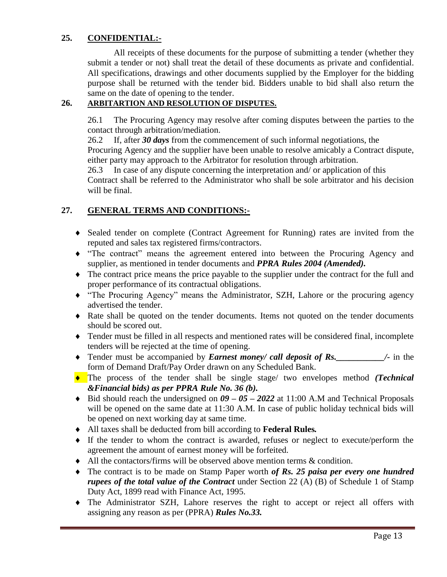## **25. CONFIDENTIAL:-**

All receipts of these documents for the purpose of submitting a tender (whether they submit a tender or not) shall treat the detail of these documents as private and confidential. All specifications, drawings and other documents supplied by the Employer for the bidding purpose shall be returned with the tender bid. Bidders unable to bid shall also return the same on the date of opening to the tender.

## **26. ARBITARTION AND RESOLUTION OF DISPUTES.**

26.1 The Procuring Agency may resolve after coming disputes between the parties to the contact through arbitration/mediation.

26.2 If, after *30 days* from the commencement of such informal negotiations, the

Procuring Agency and the supplier have been unable to resolve amicably a Contract dispute, either party may approach to the Arbitrator for resolution through arbitration.

26.3 In case of any dispute concerning the interpretation and/ or application of this Contract shall be referred to the Administrator who shall be sole arbitrator and his decision will be final.

## **27. GENERAL TERMS AND CONDITIONS:-**

- Sealed tender on complete (Contract Agreement for Running) rates are invited from the reputed and sales tax registered firms/contractors.
- "The contract" means the agreement entered into between the Procuring Agency and supplier, as mentioned in tender documents and *PPRA Rules 2004 (Amended).*
- The contract price means the price payable to the supplier under the contract for the full and proper performance of its contractual obligations.
- "The Procuring Agency" means the Administrator, SZH, Lahore or the procuring agency advertised the tender.
- Rate shall be quoted on the tender documents. Items not quoted on the tender documents should be scored out.
- Tender must be filled in all respects and mentioned rates will be considered final, incomplete tenders will be rejected at the time of opening.
- Tender must be accompanied by *Earnest money/ call deposit of Rs.* /- in the form of Demand Draft/Pay Order drawn on any Scheduled Bank.
- The process of the tender shall be single stage/ two envelopes method *(Technical &Financial bids) as per PPRA Rule No. 36 (b).*
- ◆ Bid should reach the undersigned on  $09 05 2022$  at 11:00 A.M and Technical Proposals will be opened on the same date at 11:30 A.M. In case of public holiday technical bids will be opened on next working day at same time.
- All taxes shall be deducted from bill according to **Federal Rules***.*
- If the tender to whom the contract is awarded, refuses or neglect to execute/perform the agreement the amount of earnest money will be forfeited.
- All the contactors/firms will be observed above mention terms & condition.
- The contract is to be made on Stamp Paper worth *of Rs. 25 paisa per every one hundred rupees of the total value of the Contract* under Section 22 (A) (B) of Schedule 1 of Stamp Duty Act, 1899 read with Finance Act, 1995.
- The Administrator SZH, Lahore reserves the right to accept or reject all offers with assigning any reason as per (PPRA) *Rules No.33.*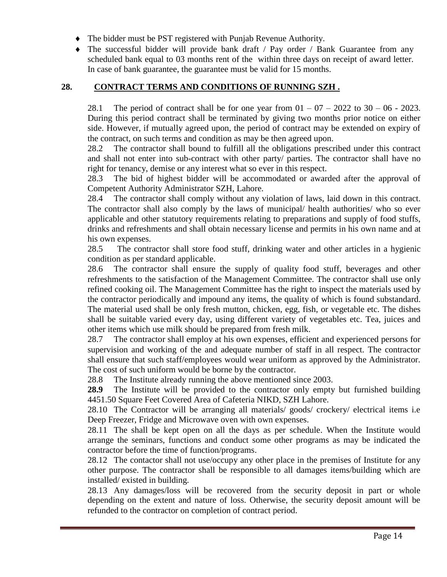- The bidder must be PST registered with Punjab Revenue Authority.
- The successful bidder will provide bank draft / Pay order / Bank Guarantee from any scheduled bank equal to 03 months rent of the within three days on receipt of award letter. In case of bank guarantee, the guarantee must be valid for 15 months.

#### **28. CONTRACT TERMS AND CONDITIONS OF RUNNING SZH .**

28.1 The period of contract shall be for one year from  $01 - 07 - 2022$  to  $30 - 06 - 2023$ . During this period contract shall be terminated by giving two months prior notice on either side. However, if mutually agreed upon, the period of contract may be extended on expiry of the contract, on such terms and condition as may be then agreed upon.

28.2 The contractor shall bound to fulfill all the obligations prescribed under this contract and shall not enter into sub-contract with other party/ parties. The contractor shall have no right for tenancy, demise or any interest what so ever in this respect.

28.3 The bid of highest bidder will be accommodated or awarded after the approval of Competent Authority Administrator SZH, Lahore.

28.4 The contractor shall comply without any violation of laws, laid down in this contract. The contractor shall also comply by the laws of municipal/ health authorities/ who so ever applicable and other statutory requirements relating to preparations and supply of food stuffs, drinks and refreshments and shall obtain necessary license and permits in his own name and at his own expenses.

28.5 The contractor shall store food stuff, drinking water and other articles in a hygienic condition as per standard applicable.

28.6 The contractor shall ensure the supply of quality food stuff, beverages and other refreshments to the satisfaction of the Management Committee. The contractor shall use only refined cooking oil. The Management Committee has the right to inspect the materials used by the contractor periodically and impound any items, the quality of which is found substandard. The material used shall be only fresh mutton, chicken, egg, fish, or vegetable etc. The dishes shall be suitable varied every day, using different variety of vegetables etc. Tea, juices and other items which use milk should be prepared from fresh milk.

28.7 The contractor shall employ at his own expenses, efficient and experienced persons for supervision and working of the and adequate number of staff in all respect. The contractor shall ensure that such staff/employees would wear uniform as approved by the Administrator. The cost of such uniform would be borne by the contractor.

28.8 The Institute already running the above mentioned since 2003.

**28.9** The Institute will be provided to the contractor only empty but furnished building 4451.50 Square Feet Covered Area of Cafeteria NIKD, SZH Lahore.

28.10 The Contractor will be arranging all materials/ goods/ crockery/ electrical items i.e Deep Freezer, Fridge and Microwave oven with own expenses.

28.11 The shall be kept open on all the days as per schedule. When the Institute would arrange the seminars, functions and conduct some other programs as may be indicated the contractor before the time of function/programs.

28.12 The contactor shall not use/occupy any other place in the premises of Institute for any other purpose. The contractor shall be responsible to all damages items/building which are installed/ existed in building.

28.13 Any damages/loss will be recovered from the security deposit in part or whole depending on the extent and nature of loss. Otherwise, the security deposit amount will be refunded to the contractor on completion of contract period.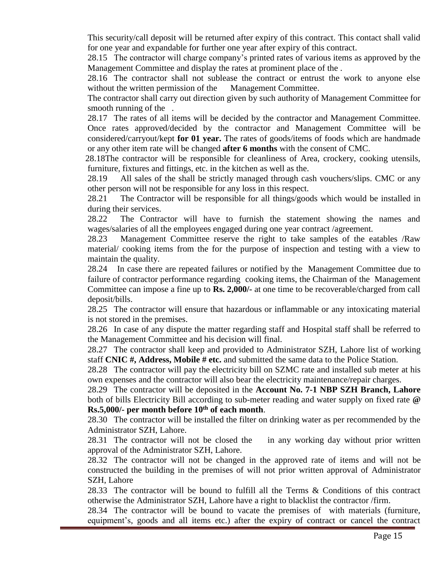This security/call deposit will be returned after expiry of this contract. This contact shall valid for one year and expandable for further one year after expiry of this contract.

28.15 The contractor will charge company's printed rates of various items as approved by the Management Committee and display the rates at prominent place of the .

28.16 The contractor shall not sublease the contract or entrust the work to anyone else without the written permission of the Management Committee.

The contractor shall carry out direction given by such authority of Management Committee for smooth running of the .

28.17 The rates of all items will be decided by the contractor and Management Committee. Once rates approved/decided by the contractor and Management Committee will be considered/carryout/kept **for 01 year.** The rates of goods/items of foods which are handmade or any other item rate will be changed **after 6 months** with the consent of CMC.

28.18The contractor will be responsible for cleanliness of Area, crockery, cooking utensils, furniture, fixtures and fittings, etc. in the kitchen as well as the.

28.19 All sales of the shall be strictly managed through cash vouchers/slips. CMC or any other person will not be responsible for any loss in this respect.

28.21 The Contractor will be responsible for all things/goods which would be installed in during their services.

28.22 The Contractor will have to furnish the statement showing the names and wages/salaries of all the employees engaged during one year contract /agreement.

28.23 Management Committee reserve the right to take samples of the eatables /Raw material/ cooking items from the for the purpose of inspection and testing with a view to maintain the quality.

28.24 In case there are repeated failures or notified by the Management Committee due to failure of contractor performance regarding cooking items, the Chairman of the Management Committee can impose a fine up to **Rs. 2,000/-** at one time to be recoverable/charged from call deposit/bills.

28.25 The contractor will ensure that hazardous or inflammable or any intoxicating material is not stored in the premises.

28.26 In case of any dispute the matter regarding staff and Hospital staff shall be referred to the Management Committee and his decision will final.

28.27 The contractor shall keep and provided to Administrator SZH, Lahore list of working staff **CNIC #, Address, Mobile # etc.** and submitted the same data to the Police Station.

28.28 The contractor will pay the electricity bill on SZMC rate and installed sub meter at his own expenses and the contractor will also bear the electricity maintenance/repair charges.

28.29 The contractor will be deposited in the **Account No. 7-1 NBP SZH Branch, Lahore**  both of bills Electricity Bill according to sub-meter reading and water supply on fixed rate **@ Rs.5,000/- per month before 10th of each month**.

28.30 The contractor will be installed the filter on drinking water as per recommended by the Administrator SZH, Lahore.

28.31 The contractor will not be closed the in any working day without prior written approval of the Administrator SZH, Lahore.

28.32 The contractor will not be changed in the approved rate of items and will not be constructed the building in the premises of will not prior written approval of Administrator SZH, Lahore

28.33 The contractor will be bound to fulfill all the Terms & Conditions of this contract otherwise the Administrator SZH, Lahore have a right to blacklist the contractor /firm.

28.34 The contractor will be bound to vacate the premises of with materials (furniture, equipment's, goods and all items etc.) after the expiry of contract or cancel the contract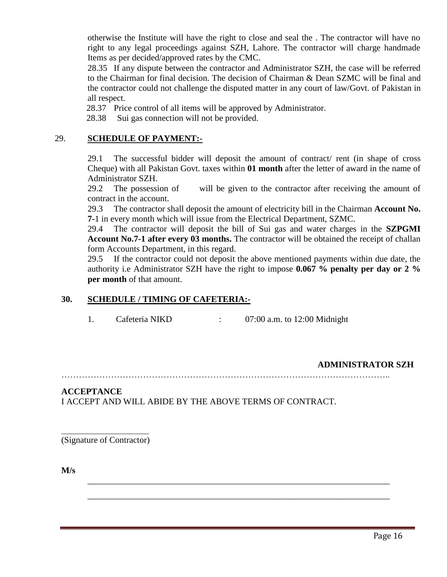otherwise the Institute will have the right to close and seal the . The contractor will have no right to any legal proceedings against SZH, Lahore. The contractor will charge handmade Items as per decided/approved rates by the CMC.

28.35 If any dispute between the contractor and Administrator SZH, the case will be referred to the Chairman for final decision. The decision of Chairman & Dean SZMC will be final and the contractor could not challenge the disputed matter in any court of law/Govt. of Pakistan in all respect.

28.37 Price control of all items will be approved by Administrator.

28.38 Sui gas connection will not be provided.

#### 29. **SCHEDULE OF PAYMENT:-**

29.1 The successful bidder will deposit the amount of contract/ rent (in shape of cross Cheque) with all Pakistan Govt. taxes within **01 month** after the letter of award in the name of Administrator SZH.

29.2 The possession of will be given to the contractor after receiving the amount of contract in the account.

29.3 The contractor shall deposit the amount of electricity bill in the Chairman **Account No. 7-**1 in every month which will issue from the Electrical Department, SZMC.

29.4 The contractor will deposit the bill of Sui gas and water charges in the **SZPGMI Account No.7-1 after every 03 months.** The contractor will be obtained the receipt of challan form Accounts Department, in this regard.

29.5 If the contractor could not deposit the above mentioned payments within due date, the authority i.e Administrator SZH have the right to impose **0.067 % penalty per day or 2 % per month** of that amount.

#### **30. SCHEDULE / TIMING OF CAFETERIA:-**

1. Cafeteria NIKD : 07:00 a.m. to 12:00 Midnight

#### **ADMINISTRATOR SZH**

…………………………………………………………………………………………………..

\_\_\_\_\_\_\_\_\_\_\_\_\_\_\_\_\_\_\_\_\_\_\_\_\_\_\_\_\_\_\_\_\_\_\_\_\_\_\_\_\_\_\_\_\_\_\_\_\_\_\_\_\_\_\_\_\_\_\_\_\_\_\_\_\_\_\_\_\_

\_\_\_\_\_\_\_\_\_\_\_\_\_\_\_\_\_\_\_\_\_\_\_\_\_\_\_\_\_\_\_\_\_\_\_\_\_\_\_\_\_\_\_\_\_\_\_\_\_\_\_\_\_\_\_\_\_\_\_\_\_\_\_\_\_\_\_\_\_

#### **ACCEPTANCE**

I ACCEPT AND WILL ABIDE BY THE ABOVE TERMS OF CONTRACT.

\_\_\_\_\_\_\_\_\_\_\_\_\_\_\_\_\_\_\_\_\_\_\_\_ (Signature of Contractor)

**M/s**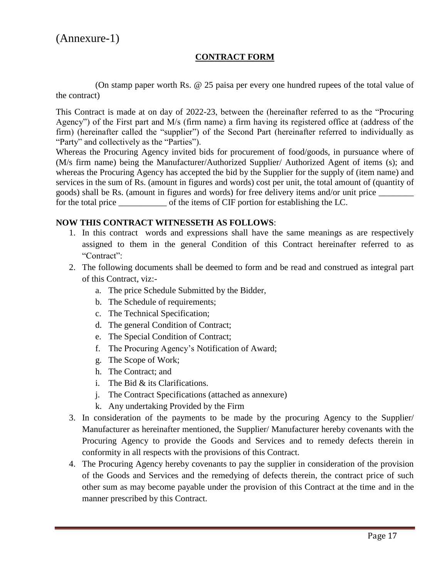#### **CONTRACT FORM**

(On stamp paper worth Rs. @ 25 paisa per every one hundred rupees of the total value of the contract)

This Contract is made at on day of 2022-23, between the (hereinafter referred to as the "Procuring Agency") of the First part and M/s (firm name) a firm having its registered office at (address of the firm) (hereinafter called the "supplier") of the Second Part (hereinafter referred to individually as "Party" and collectively as the "Parties").

Whereas the Procuring Agency invited bids for procurement of food/goods, in pursuance where of (M/s firm name) being the Manufacturer/Authorized Supplier/ Authorized Agent of items (s); and whereas the Procuring Agency has accepted the bid by the Supplier for the supply of (item name) and services in the sum of Rs. (amount in figures and words) cost per unit, the total amount of (quantity of goods) shall be Rs. (amount in figures and words) for free delivery items and/or unit price \_\_\_\_\_\_\_\_ for the total price \_\_\_\_\_\_\_\_\_\_\_ of the items of CIF portion for establishing the LC.

#### **NOW THIS CONTRACT WITNESSETH AS FOLLOWS**:

- 1. In this contract words and expressions shall have the same meanings as are respectively assigned to them in the general Condition of this Contract hereinafter referred to as "Contract":
- 2. The following documents shall be deemed to form and be read and construed as integral part of this Contract, viz:
	- a. The price Schedule Submitted by the Bidder,
	- b. The Schedule of requirements;
	- c. The Technical Specification;
	- d. The general Condition of Contract;
	- e. The Special Condition of Contract;
	- f. The Procuring Agency's Notification of Award;
	- g. The Scope of Work;
	- h. The Contract; and
	- i. The Bid & its Clarifications.
	- j. The Contract Specifications (attached as annexure)
	- k. Any undertaking Provided by the Firm
- 3. In consideration of the payments to be made by the procuring Agency to the Supplier/ Manufacturer as hereinafter mentioned, the Supplier/ Manufacturer hereby covenants with the Procuring Agency to provide the Goods and Services and to remedy defects therein in conformity in all respects with the provisions of this Contract.
- 4. The Procuring Agency hereby covenants to pay the supplier in consideration of the provision of the Goods and Services and the remedying of defects therein, the contract price of such other sum as may become payable under the provision of this Contract at the time and in the manner prescribed by this Contract.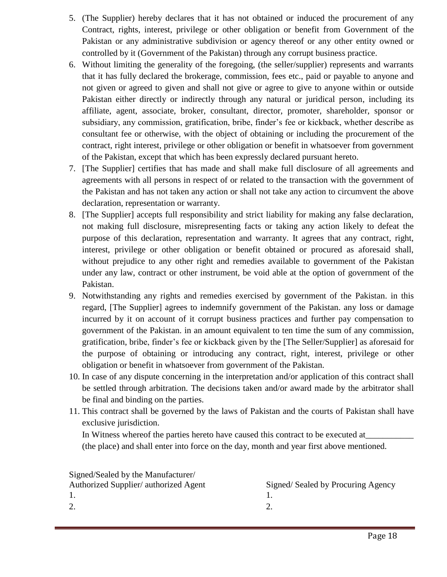- 5. (The Supplier) hereby declares that it has not obtained or induced the procurement of any Contract, rights, interest, privilege or other obligation or benefit from Government of the Pakistan or any administrative subdivision or agency thereof or any other entity owned or controlled by it (Government of the Pakistan) through any corrupt business practice.
- 6. Without limiting the generality of the foregoing, (the seller/supplier) represents and warrants that it has fully declared the brokerage, commission, fees etc., paid or payable to anyone and not given or agreed to given and shall not give or agree to give to anyone within or outside Pakistan either directly or indirectly through any natural or juridical person, including its affiliate, agent, associate, broker, consultant, director, promoter, shareholder, sponsor or subsidiary, any commission, gratification, bribe, finder's fee or kickback, whether describe as consultant fee or otherwise, with the object of obtaining or including the procurement of the contract, right interest, privilege or other obligation or benefit in whatsoever from government of the Pakistan, except that which has been expressly declared pursuant hereto.
- 7. [The Supplier] certifies that has made and shall make full disclosure of all agreements and agreements with all persons in respect of or related to the transaction with the government of the Pakistan and has not taken any action or shall not take any action to circumvent the above declaration, representation or warranty.
- 8. [The Supplier] accepts full responsibility and strict liability for making any false declaration, not making full disclosure, misrepresenting facts or taking any action likely to defeat the purpose of this declaration, representation and warranty. It agrees that any contract, right, interest, privilege or other obligation or benefit obtained or procured as aforesaid shall, without prejudice to any other right and remedies available to government of the Pakistan under any law, contract or other instrument, be void able at the option of government of the Pakistan.
- 9. Notwithstanding any rights and remedies exercised by government of the Pakistan. in this regard, [The Supplier] agrees to indemnify government of the Pakistan. any loss or damage incurred by it on account of it corrupt business practices and further pay compensation to government of the Pakistan. in an amount equivalent to ten time the sum of any commission, gratification, bribe, finder's fee or kickback given by the [The Seller/Supplier] as aforesaid for the purpose of obtaining or introducing any contract, right, interest, privilege or other obligation or benefit in whatsoever from government of the Pakistan.
- 10. In case of any dispute concerning in the interpretation and/or application of this contract shall be settled through arbitration. The decisions taken and/or award made by the arbitrator shall be final and binding on the parties.
- 11. This contract shall be governed by the laws of Pakistan and the courts of Pakistan shall have exclusive jurisdiction.

In Witness whereof the parties hereto have caused this contract to be executed at (the place) and shall enter into force on the day, month and year first above mentioned.

| Signed/Sealed by the Manufacturer/    |                                   |
|---------------------------------------|-----------------------------------|
| Authorized Supplier/ authorized Agent | Signed/Sealed by Procuring Agency |
|                                       |                                   |
|                                       |                                   |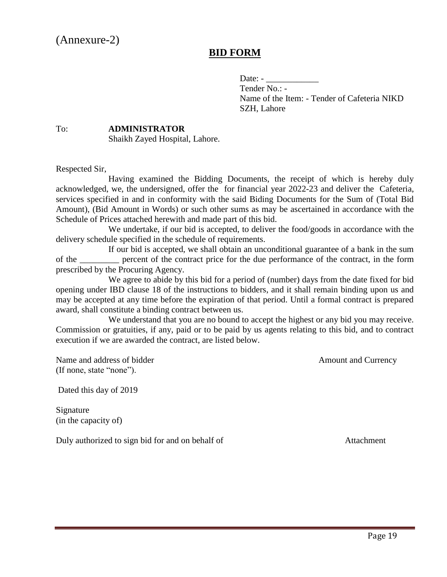## **BID FORM**

Date: -

Tender No.: - Name of the Item: - Tender of Cafeteria NIKD SZH, Lahore

#### To: **ADMINISTRATOR** Shaikh Zayed Hospital, Lahore.

Respected Sir,

Having examined the Bidding Documents, the receipt of which is hereby duly acknowledged, we, the undersigned, offer the for financial year 2022-23 and deliver the Cafeteria, services specified in and in conformity with the said Biding Documents for the Sum of (Total Bid Amount), (Bid Amount in Words) or such other sums as may be ascertained in accordance with the Schedule of Prices attached herewith and made part of this bid.

We undertake, if our bid is accepted, to deliver the food/goods in accordance with the delivery schedule specified in the schedule of requirements.

If our bid is accepted, we shall obtain an unconditional guarantee of a bank in the sum of the serve percent of the contract price for the due performance of the contract, in the form prescribed by the Procuring Agency.

We agree to abide by this bid for a period of (number) days from the date fixed for bid opening under IBD clause 18 of the instructions to bidders, and it shall remain binding upon us and may be accepted at any time before the expiration of that period. Until a formal contract is prepared award, shall constitute a binding contract between us.

We understand that you are no bound to accept the highest or any bid you may receive. Commission or gratuities, if any, paid or to be paid by us agents relating to this bid, and to contract execution if we are awarded the contract, are listed below.

Name and address of bidder Amount and Currency (If none, state "none").

Dated this day of 2019

Signature (in the capacity of)

Duly authorized to sign bid for and on behalf of Attachment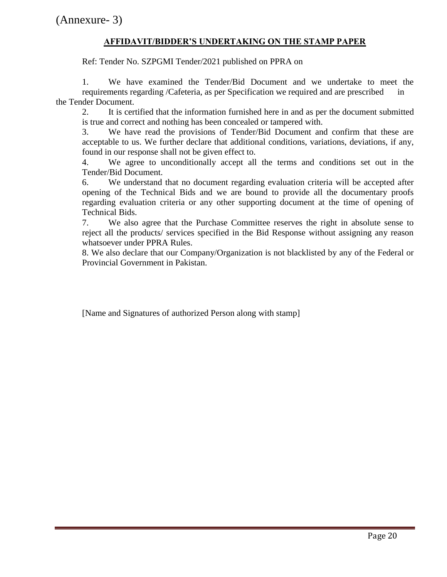## **AFFIDAVIT/BIDDER'S UNDERTAKING ON THE STAMP PAPER**

Ref: Tender No. SZPGMI Tender/2021 published on PPRA on

1. We have examined the Tender/Bid Document and we undertake to meet the requirements regarding /Cafeteria, as per Specification we required and are prescribed in the Tender Document.

2. It is certified that the information furnished here in and as per the document submitted is true and correct and nothing has been concealed or tampered with.

3. We have read the provisions of Tender/Bid Document and confirm that these are acceptable to us. We further declare that additional conditions, variations, deviations, if any, found in our response shall not be given effect to.

4. We agree to unconditionally accept all the terms and conditions set out in the Tender/Bid Document.

6. We understand that no document regarding evaluation criteria will be accepted after opening of the Technical Bids and we are bound to provide all the documentary proofs regarding evaluation criteria or any other supporting document at the time of opening of Technical Bids.

7. We also agree that the Purchase Committee reserves the right in absolute sense to reject all the products/ services specified in the Bid Response without assigning any reason whatsoever under PPRA Rules.

8. We also declare that our Company/Organization is not blacklisted by any of the Federal or Provincial Government in Pakistan.

[Name and Signatures of authorized Person along with stamp]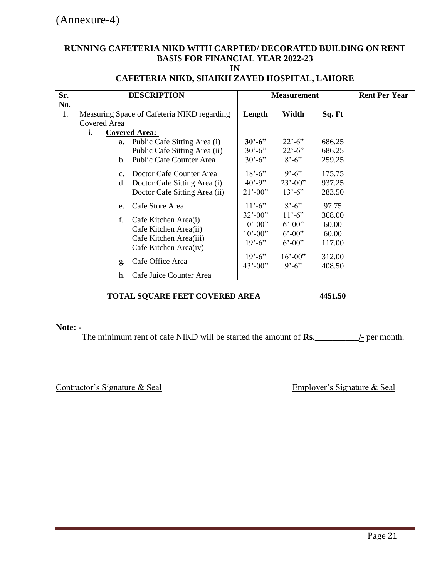## **RUNNING CAFETERIA NIKD WITH CARPTED/ DECORATED BUILDING ON RENT BASIS FOR FINANCIAL YEAR 2022-23**

**IN**

| Sr. | <b>DESCRIPTION</b>                          | <b>Measurement</b>        |                    |        | <b>Rent Per Year</b> |
|-----|---------------------------------------------|---------------------------|--------------------|--------|----------------------|
| No. |                                             |                           |                    |        |                      |
| 1.  | Measuring Space of Cafeteria NIKD regarding | Length                    | Width              | Sq. Ft |                      |
|     | Covered Area                                |                           |                    |        |                      |
|     | i.<br><b>Covered Area:-</b>                 |                           |                    |        |                      |
|     | a. Public Cafe Sitting Area (i)             | $30^{\circ} - 6^{\circ}$  | $22^{\degree}$ -6" | 686.25 |                      |
|     | Public Cafe Sitting Area (ii)               | $30' - 6'$                | $22^{\circ} - 6$ " | 686.25 |                      |
|     | Public Cafe Counter Area<br>$\mathbf{b}$ .  | $30' - 6'$                | $8' - 6'$          | 259.25 |                      |
|     | Doctor Cafe Counter Area<br>$c_{\cdot}$     | $18' - 6'$                | $9' - 6''$         | 175.75 |                      |
|     | Doctor Cafe Sitting Area (i)<br>$d_{\cdot}$ | $40' - 9''$               | $23' - 00'$        | 937.25 |                      |
|     | Doctor Cafe Sitting Area (ii)               | $21' - 00'$               | $13' - 6'$         | 283.50 |                      |
|     | Cafe Store Area<br>e.                       | $11' - 6'$                | $8' - 6'$          | 97.75  |                      |
|     | Cafe Kitchen Area(i)<br>f.                  | $32' - 00'$               | $11' - 6'$         | 368.00 |                      |
|     | Cafe Kitchen Area(ii)                       | $10^{\circ} - 00^{\circ}$ | $6' - 00''$        | 60.00  |                      |
|     | Cafe Kitchen Area(iii)                      | $10^{\circ} - 00^{\circ}$ | $6' - 00''$        | 60.00  |                      |
|     | Cafe Kitchen Area(iv)                       | $19' - 6'$                | $6' - 00''$        | 117.00 |                      |
|     |                                             | $19' - 6'$                | $16' - 00''$       | 312.00 |                      |
|     | Cafe Office Area<br>g.                      | $43' - 00'$               | $9' - 6'$          | 408.50 |                      |
|     | Cafe Juice Counter Area<br>h.               |                           |                    |        |                      |
|     | <b>TOTAL SQUARE FEET COVERED AREA</b>       |                           | 4451.50            |        |                      |

## **CAFETERIA NIKD, SHAIKH ZAYED HOSPITAL, LAHORE**

#### **Note: -**

The minimum rent of cafe NIKD will be started the amount of **Rs.\_\_\_\_\_\_\_\_\_\_/-** per month.

Contractor's Signature & Seal Employer's Signature & Seal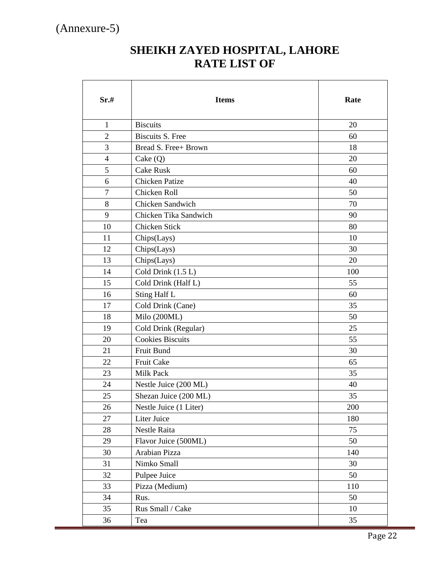## **SHEIKH ZAYED HOSPITAL, LAHORE RATE LIST OF**

| Sr.#           | <b>Items</b>                       | Rate |
|----------------|------------------------------------|------|
| $\mathbf{1}$   | <b>Biscuits</b>                    | 20   |
| $\overline{2}$ | <b>Biscuits S. Free</b>            | 60   |
| 3              | Bread S. Free+ Brown               | 18   |
| $\overline{4}$ | $\text{Cake}\left(\text{Q}\right)$ | 20   |
| 5              | <b>Cake Rusk</b>                   | 60   |
| 6              | <b>Chicken Patize</b>              | 40   |
| $\tau$         | Chicken Roll                       | 50   |
| 8              | Chicken Sandwich                   | 70   |
| 9              | Chicken Tika Sandwich              | 90   |
| 10             | Chicken Stick                      | 80   |
| 11             | Chips(Lays)                        | 10   |
| 12             | Chips(Lays)                        | 30   |
| 13             | Chips(Lays)                        | 20   |
| 14             | Cold Drink $(1.5 L)$               | 100  |
| 15             | Cold Drink (Half L)                | 55   |
| 16             | Sting Half L                       | 60   |
| 17             | Cold Drink (Cane)                  | 35   |
| 18             | Milo (200ML)                       | 50   |
| 19             | Cold Drink (Regular)               | 25   |
| 20             | <b>Cookies Biscuits</b>            | 55   |
| 21             | Fruit Bund                         | 30   |
| 22             | Fruit Cake                         | 65   |
| 23             | Milk Pack                          | 35   |
| 24             | Nestle Juice (200 ML)              | 40   |
| 25             | Shezan Juice (200 ML)              | 35   |
| 26             | Nestle Juice (1 Liter)             | 200  |
| 27             | Liter Juice                        | 180  |
| 28             | Nestle Raita                       | 75   |
| 29             | Flavor Juice (500ML)               | 50   |
| 30             | Arabian Pizza                      | 140  |
| 31             | Nimko Small                        | 30   |
| 32             | Pulpee Juice                       | 50   |
| 33             | Pizza (Medium)                     | 110  |
| 34             | Rus.                               | 50   |
| 35             | Rus Small / Cake                   | 10   |
| 36             | Tea                                | 35   |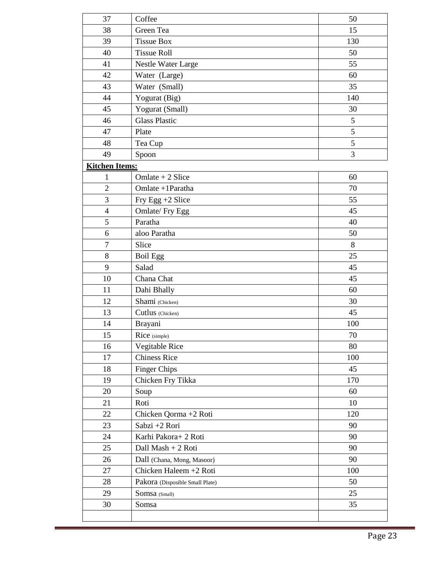| 37                    | Coffee                          | 50  |
|-----------------------|---------------------------------|-----|
| 38                    | Green Tea                       | 15  |
| 39                    | <b>Tissue Box</b>               | 130 |
| 40                    | <b>Tissue Roll</b>              | 50  |
| 41                    | Nestle Water Large              | 55  |
| 42                    | Water (Large)                   | 60  |
| 43                    | Water (Small)                   | 35  |
| 44                    | Yogurat (Big)                   | 140 |
| 45                    | Yogurat (Small)                 | 30  |
| 46                    | <b>Glass Plastic</b>            | 5   |
| 47                    | Plate                           | 5   |
| 48                    | Tea Cup                         | 5   |
| 49                    | Spoon                           | 3   |
| <b>Kitchen Items:</b> |                                 |     |
| $\mathbf{1}$          | Omlate + 2 Slice                | 60  |
| $\overline{2}$        | Omlate +1Paratha                | 70  |
| 3                     | Fry Egg +2 Slice                | 55  |
| $\overline{4}$        | Omlate/ Fry Egg                 | 45  |
| 5                     | Paratha                         | 40  |
| 6                     | aloo Paratha                    | 50  |
| $\tau$                | Slice                           | 8   |
| 8                     | <b>Boil Egg</b>                 | 25  |
| 9                     | Salad                           | 45  |
| 10                    | Chana Chat                      | 45  |
| 11                    | Dahi Bhally                     | 60  |
| 12                    | Shami (Chicken)                 | 30  |
| 13                    | Cutlus (Chicken)                | 45  |
| 14                    | Brayani                         | 100 |
| 15                    | Rice (simple)                   | 70  |
| 16                    | Vegitable Rice                  | 80  |
| 17                    | <b>Chiness Rice</b>             | 100 |
| 18                    | <b>Finger Chips</b>             | 45  |
| 19                    | Chicken Fry Tikka               | 170 |
| 20                    | Soup                            | 60  |
| 21                    | Roti                            | 10  |
| 22                    | Chicken Qorma +2 Roti           | 120 |
| 23                    | Sabzi +2 Rori                   | 90  |
| 24                    | Karhi Pakora+2 Roti             | 90  |
| 25                    | Dall Mash + 2 Roti              | 90  |
| 26                    | Dall (Chana, Mong, Masoor)      | 90  |
| 27                    | Chicken Haleem +2 Roti          | 100 |
| 28                    | Pakora (Disposible Small Plate) | 50  |
| 29                    | Somsa (Small)                   | 25  |
| 30                    | Somsa                           | 35  |
|                       |                                 |     |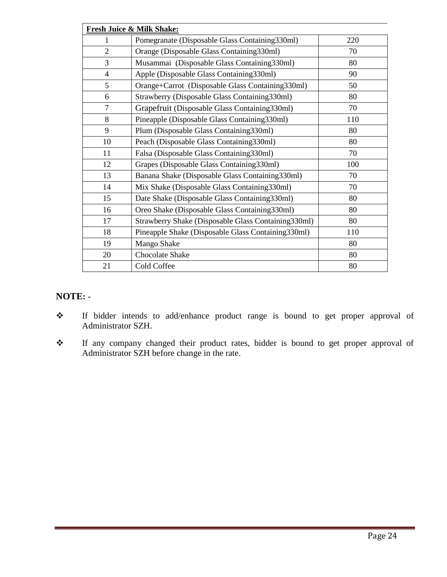| Fresh Juice & Milk Shake: |                                                     |     |  |  |
|---------------------------|-----------------------------------------------------|-----|--|--|
| 1                         | Pomegranate (Disposable Glass Containing330ml)      | 220 |  |  |
| $\overline{2}$            | Orange (Disposable Glass Containing 330ml)          | 70  |  |  |
| 3                         | Musammai (Disposable Glass Containing 330ml)        | 80  |  |  |
| $\overline{4}$            | Apple (Disposable Glass Containing 330ml)           | 90  |  |  |
| 5                         | Orange+Carrot (Disposable Glass Containing330ml)    | 50  |  |  |
| 6                         | Strawberry (Disposable Glass Containing330ml)       | 80  |  |  |
| $\overline{7}$            | Grapefruit (Disposable Glass Containing 330ml)      | 70  |  |  |
| 8                         | Pineapple (Disposable Glass Containing330ml)        | 110 |  |  |
| 9                         | Plum (Disposable Glass Containing 330ml)            | 80  |  |  |
| 10                        | Peach (Disposable Glass Containing 330ml)           | 80  |  |  |
| 11                        | Falsa (Disposable Glass Containing 330ml)           | 70  |  |  |
| 12                        | Grapes (Disposable Glass Containing 330ml)          | 100 |  |  |
| 13                        | Banana Shake (Disposable Glass Containing 330ml)    | 70  |  |  |
| 14                        | Mix Shake (Disposable Glass Containing330ml)        | 70  |  |  |
| 15                        | Date Shake (Disposable Glass Containing 330ml)      | 80  |  |  |
| 16                        | Oreo Shake (Disposable Glass Containing 330ml)      | 80  |  |  |
| 17                        | Strawberry Shake (Disposable Glass Containing330ml) | 80  |  |  |
| 18                        | Pineapple Shake (Disposable Glass Containing330ml)  | 110 |  |  |
| 19                        | Mango Shake                                         | 80  |  |  |
| 20                        | Chocolate Shake                                     | 80  |  |  |
| 21                        | Cold Coffee                                         | 80  |  |  |

## **NOTE: -**

- \* If bidder intends to add/enhance product range is bound to get proper approval of Administrator SZH.
- If any company changed their product rates, bidder is bound to get proper approval of Administrator SZH before change in the rate.